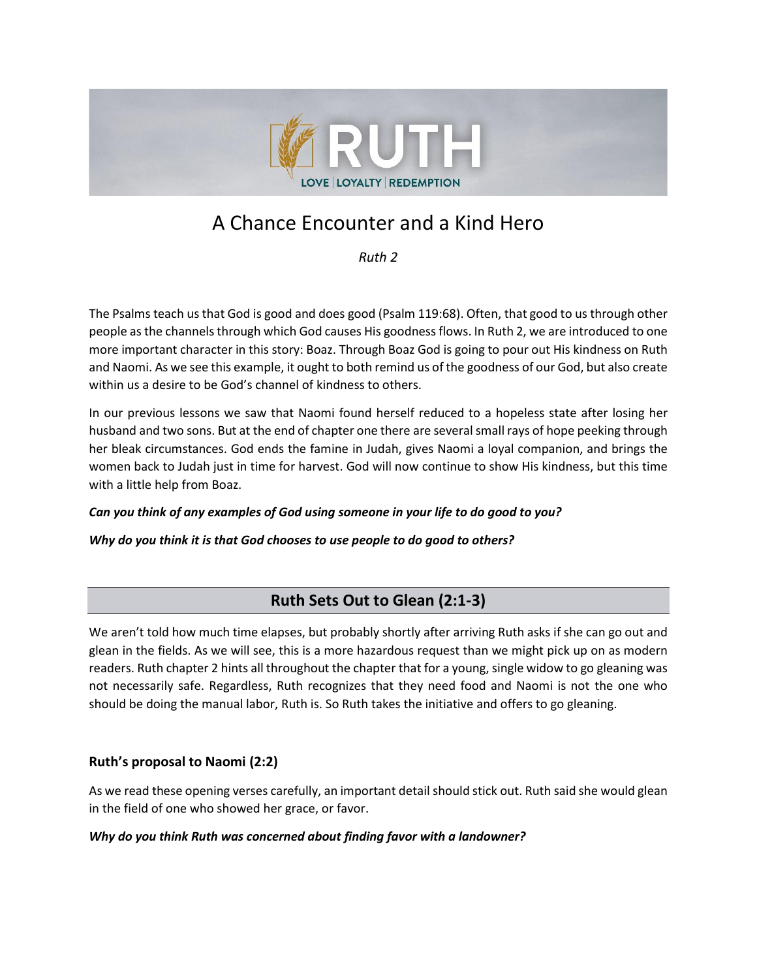

# A Chance Encounter and a Kind Hero

*Ruth 2*

The Psalms teach us that God is good and does good (Psalm 119:68). Often, that good to us through other people asthe channels through which God causes His goodness flows. In Ruth 2, we are introduced to one more important character in this story: Boaz. Through Boaz God is going to pour out His kindness on Ruth and Naomi. As we see this example, it ought to both remind us of the goodness of our God, but also create within us a desire to be God's channel of kindness to others.

In our previous lessons we saw that Naomi found herself reduced to a hopeless state after losing her husband and two sons. But at the end of chapter one there are several small rays of hope peeking through her bleak circumstances. God ends the famine in Judah, gives Naomi a loyal companion, and brings the women back to Judah just in time for harvest. God will now continue to show His kindness, but this time with a little help from Boaz.

#### *Can you think of any examples of God using someone in your life to do good to you?*

*Why do you think it is that God chooses to use people to do good to others?*

# **Ruth Sets Out to Glean (2:1-3)**

We aren't told how much time elapses, but probably shortly after arriving Ruth asks if she can go out and glean in the fields. As we will see, this is a more hazardous request than we might pick up on as modern readers. Ruth chapter 2 hints all throughout the chapter that for a young, single widow to go gleaning was not necessarily safe. Regardless, Ruth recognizes that they need food and Naomi is not the one who should be doing the manual labor, Ruth is. So Ruth takes the initiative and offers to go gleaning.

# **Ruth's proposal to Naomi (2:2)**

As we read these opening verses carefully, an important detail should stick out. Ruth said she would glean in the field of one who showed her grace, or favor.

#### *Why do you think Ruth was concerned about finding favor with a landowner?*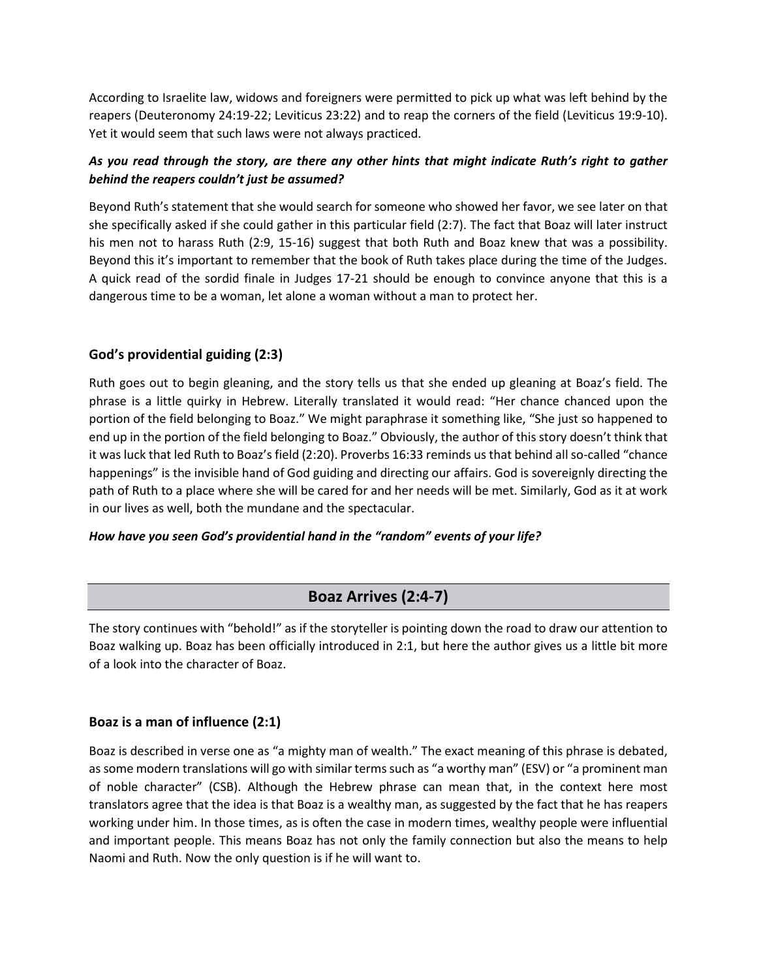According to Israelite law, widows and foreigners were permitted to pick up what was left behind by the reapers (Deuteronomy 24:19-22; Leviticus 23:22) and to reap the corners of the field (Leviticus 19:9-10). Yet it would seem that such laws were not always practiced.

### *As you read through the story, are there any other hints that might indicate Ruth's right to gather behind the reapers couldn't just be assumed?*

Beyond Ruth's statement that she would search for someone who showed her favor, we see later on that she specifically asked if she could gather in this particular field (2:7). The fact that Boaz will later instruct his men not to harass Ruth (2:9, 15-16) suggest that both Ruth and Boaz knew that was a possibility. Beyond this it's important to remember that the book of Ruth takes place during the time of the Judges. A quick read of the sordid finale in Judges 17-21 should be enough to convince anyone that this is a dangerous time to be a woman, let alone a woman without a man to protect her.

## **God's providential guiding (2:3)**

Ruth goes out to begin gleaning, and the story tells us that she ended up gleaning at Boaz's field. The phrase is a little quirky in Hebrew. Literally translated it would read: "Her chance chanced upon the portion of the field belonging to Boaz." We might paraphrase it something like, "She just so happened to end up in the portion of the field belonging to Boaz." Obviously, the author of this story doesn't think that it was luck that led Ruth to Boaz's field (2:20). Proverbs 16:33 reminds us that behind all so-called "chance happenings" is the invisible hand of God guiding and directing our affairs. God is sovereignly directing the path of Ruth to a place where she will be cared for and her needs will be met. Similarly, God as it at work in our lives as well, both the mundane and the spectacular.

#### *How have you seen God's providential hand in the "random" events of your life?*

# **Boaz Arrives (2:4-7)**

The story continues with "behold!" as if the storyteller is pointing down the road to draw our attention to Boaz walking up. Boaz has been officially introduced in 2:1, but here the author gives us a little bit more of a look into the character of Boaz.

#### **Boaz is a man of influence (2:1)**

Boaz is described in verse one as "a mighty man of wealth." The exact meaning of this phrase is debated, as some modern translations will go with similar terms such as "a worthy man" (ESV) or "a prominent man of noble character" (CSB). Although the Hebrew phrase can mean that, in the context here most translators agree that the idea is that Boaz is a wealthy man, as suggested by the fact that he has reapers working under him. In those times, as is often the case in modern times, wealthy people were influential and important people. This means Boaz has not only the family connection but also the means to help Naomi and Ruth. Now the only question is if he will want to.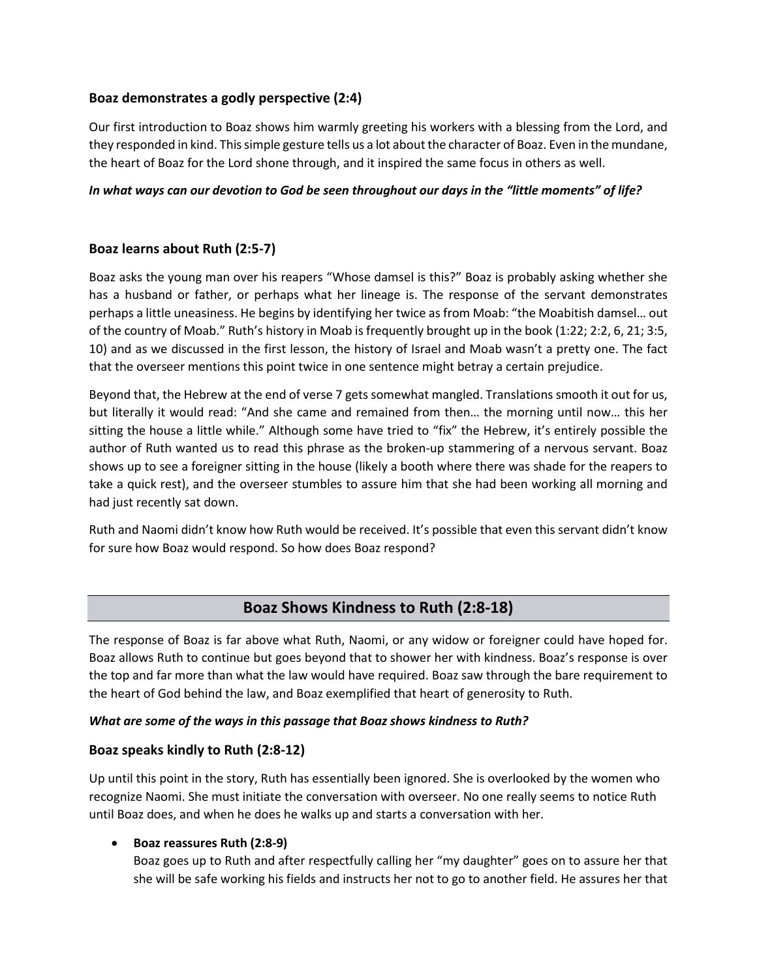#### **Boaz demonstrates a godly perspective (2:4)**

Our first introduction to Boaz shows him warmly greeting his workers with a blessing from the Lord, and they responded in kind. This simple gesture tells us a lot about the character of Boaz. Even in the mundane, the heart of Boaz for the Lord shone through, and it inspired the same focus in others as well.

#### *In what ways can our devotion to God be seen throughout our days in the "little moments" of life?*

## **Boaz learns about Ruth (2:5-7)**

Boaz asks the young man over his reapers "Whose damsel is this?" Boaz is probably asking whether she has a husband or father, or perhaps what her lineage is. The response of the servant demonstrates perhaps a little uneasiness. He begins by identifying her twice as from Moab: "the Moabitish damsel… out of the country of Moab." Ruth's history in Moab is frequently brought up in the book (1:22; 2:2, 6, 21; 3:5, 10) and as we discussed in the first lesson, the history of Israel and Moab wasn't a pretty one. The fact that the overseer mentions this point twice in one sentence might betray a certain prejudice.

Beyond that, the Hebrew at the end of verse 7 gets somewhat mangled. Translations smooth it out for us, but literally it would read: "And she came and remained from then… the morning until now… this her sitting the house a little while." Although some have tried to "fix" the Hebrew, it's entirely possible the author of Ruth wanted us to read this phrase as the broken-up stammering of a nervous servant. Boaz shows up to see a foreigner sitting in the house (likely a booth where there was shade for the reapers to take a quick rest), and the overseer stumbles to assure him that she had been working all morning and had just recently sat down.

Ruth and Naomi didn't know how Ruth would be received. It's possible that even this servant didn't know for sure how Boaz would respond. So how does Boaz respond?

# **Boaz Shows Kindness to Ruth (2:8-18)**

The response of Boaz is far above what Ruth, Naomi, or any widow or foreigner could have hoped for. Boaz allows Ruth to continue but goes beyond that to shower her with kindness. Boaz's response is over the top and far more than what the law would have required. Boaz saw through the bare requirement to the heart of God behind the law, and Boaz exemplified that heart of generosity to Ruth.

#### *What are some of the ways in this passage that Boaz shows kindness to Ruth?*

#### **Boaz speaks kindly to Ruth (2:8-12)**

Up until this point in the story, Ruth has essentially been ignored. She is overlooked by the women who recognize Naomi. She must initiate the conversation with overseer. No one really seems to notice Ruth until Boaz does, and when he does he walks up and starts a conversation with her.

#### • **Boaz reassures Ruth (2:8-9)**

Boaz goes up to Ruth and after respectfully calling her "my daughter" goes on to assure her that she will be safe working his fields and instructs her not to go to another field. He assures her that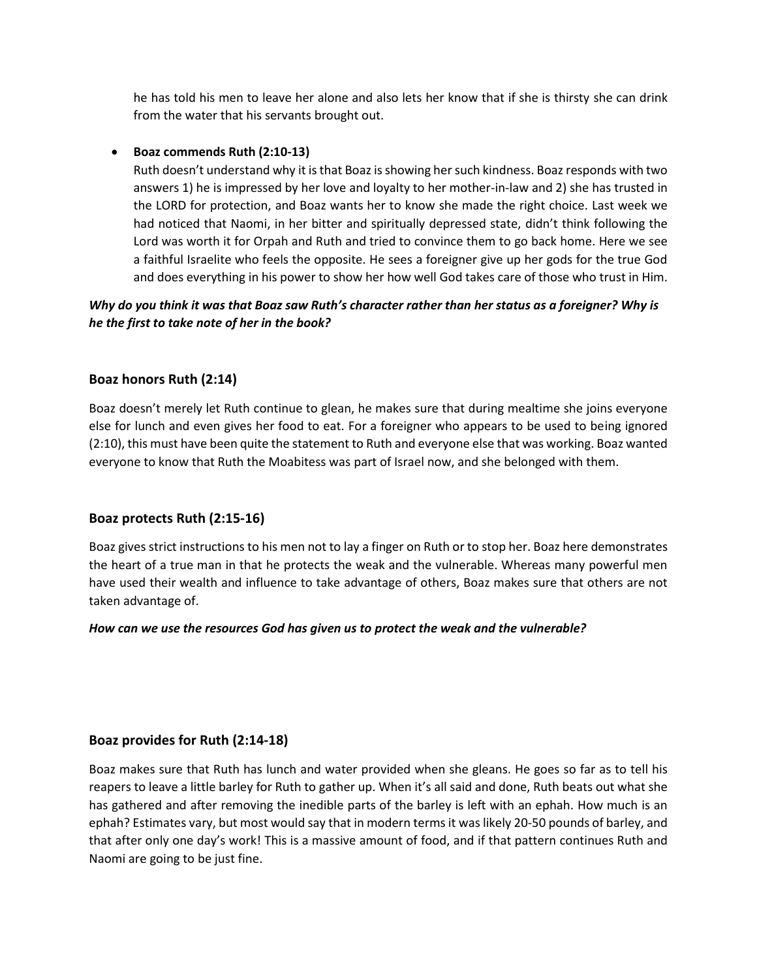he has told his men to leave her alone and also lets her know that if she is thirsty she can drink from the water that his servants brought out.

#### • **Boaz commends Ruth (2:10-13)**

Ruth doesn't understand why it is that Boaz is showing her such kindness. Boaz responds with two answers 1) he is impressed by her love and loyalty to her mother-in-law and 2) she has trusted in the LORD for protection, and Boaz wants her to know she made the right choice. Last week we had noticed that Naomi, in her bitter and spiritually depressed state, didn't think following the Lord was worth it for Orpah and Ruth and tried to convince them to go back home. Here we see a faithful Israelite who feels the opposite. He sees a foreigner give up her gods for the true God and does everything in his power to show her how well God takes care of those who trust in Him.

#### *Why do you think it was that Boaz saw Ruth's character rather than her status as a foreigner? Why is he the first to take note of her in the book?*

#### **Boaz honors Ruth (2:14)**

Boaz doesn't merely let Ruth continue to glean, he makes sure that during mealtime she joins everyone else for lunch and even gives her food to eat. For a foreigner who appears to be used to being ignored (2:10), this must have been quite the statement to Ruth and everyone else that was working. Boaz wanted everyone to know that Ruth the Moabitess was part of Israel now, and she belonged with them.

#### **Boaz protects Ruth (2:15-16)**

Boaz gives strict instructions to his men not to lay a finger on Ruth or to stop her. Boaz here demonstrates the heart of a true man in that he protects the weak and the vulnerable. Whereas many powerful men have used their wealth and influence to take advantage of others, Boaz makes sure that others are not taken advantage of.

#### *How can we use the resources God has given us to protect the weak and the vulnerable?*

#### **Boaz provides for Ruth (2:14-18)**

Boaz makes sure that Ruth has lunch and water provided when she gleans. He goes so far as to tell his reapers to leave a little barley for Ruth to gather up. When it's all said and done, Ruth beats out what she has gathered and after removing the inedible parts of the barley is left with an ephah. How much is an ephah? Estimates vary, but most would say that in modern terms it was likely 20-50 pounds of barley, and that after only one day's work! This is a massive amount of food, and if that pattern continues Ruth and Naomi are going to be just fine.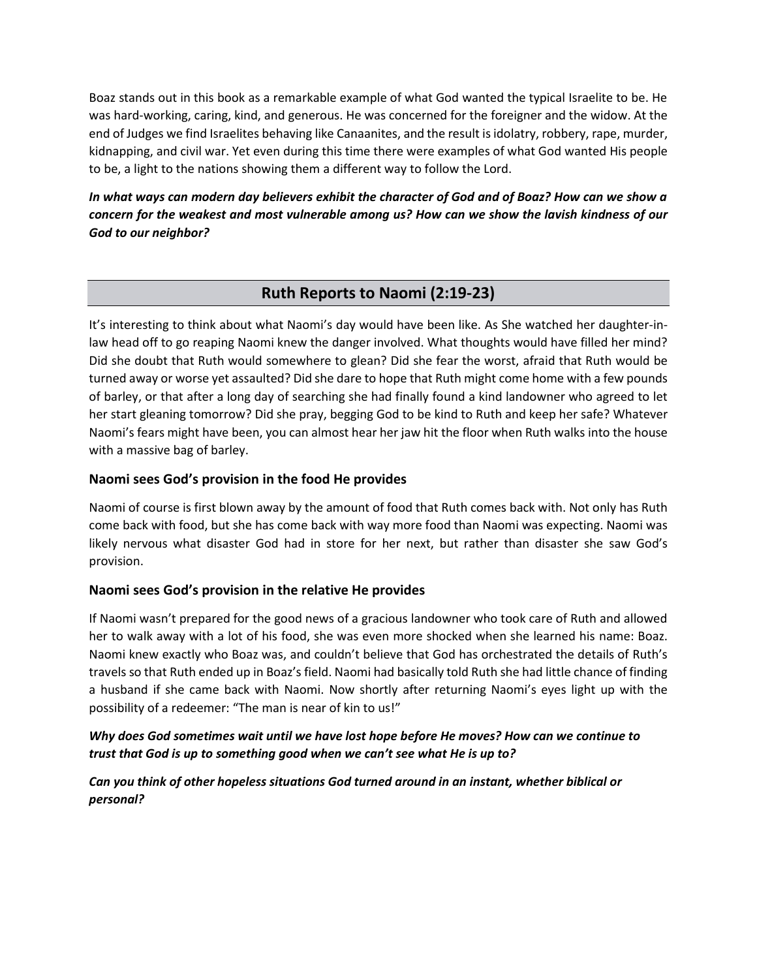Boaz stands out in this book as a remarkable example of what God wanted the typical Israelite to be. He was hard-working, caring, kind, and generous. He was concerned for the foreigner and the widow. At the end of Judges we find Israelites behaving like Canaanites, and the result is idolatry, robbery, rape, murder, kidnapping, and civil war. Yet even during this time there were examples of what God wanted His people to be, a light to the nations showing them a different way to follow the Lord.

*In what ways can modern day believers exhibit the character of God and of Boaz? How can we show a concern for the weakest and most vulnerable among us? How can we show the lavish kindness of our God to our neighbor?*

# **Ruth Reports to Naomi (2:19-23)**

It's interesting to think about what Naomi's day would have been like. As She watched her daughter-inlaw head off to go reaping Naomi knew the danger involved. What thoughts would have filled her mind? Did she doubt that Ruth would somewhere to glean? Did she fear the worst, afraid that Ruth would be turned away or worse yet assaulted? Did she dare to hope that Ruth might come home with a few pounds of barley, or that after a long day of searching she had finally found a kind landowner who agreed to let her start gleaning tomorrow? Did she pray, begging God to be kind to Ruth and keep her safe? Whatever Naomi's fears might have been, you can almost hear her jaw hit the floor when Ruth walks into the house with a massive bag of barley.

## **Naomi sees God's provision in the food He provides**

Naomi of course is first blown away by the amount of food that Ruth comes back with. Not only has Ruth come back with food, but she has come back with way more food than Naomi was expecting. Naomi was likely nervous what disaster God had in store for her next, but rather than disaster she saw God's provision.

#### **Naomi sees God's provision in the relative He provides**

If Naomi wasn't prepared for the good news of a gracious landowner who took care of Ruth and allowed her to walk away with a lot of his food, she was even more shocked when she learned his name: Boaz. Naomi knew exactly who Boaz was, and couldn't believe that God has orchestrated the details of Ruth's travels so that Ruth ended up in Boaz's field. Naomi had basically told Ruth she had little chance of finding a husband if she came back with Naomi. Now shortly after returning Naomi's eyes light up with the possibility of a redeemer: "The man is near of kin to us!"

# *Why does God sometimes wait until we have lost hope before He moves? How can we continue to trust that God is up to something good when we can't see what He is up to?*

# *Can you think of other hopeless situations God turned around in an instant, whether biblical or personal?*